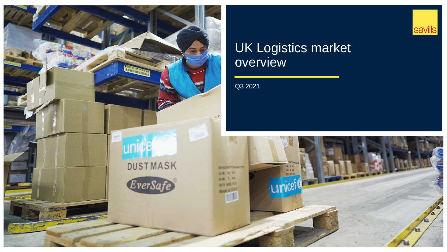

## UK Logistics market overview

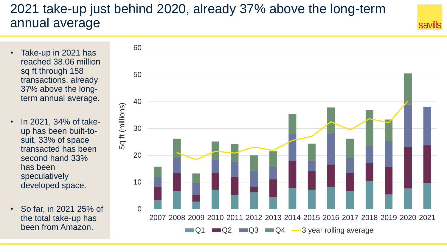# 2021 take-up just behind 2020, already 37% above the long-term annual average

- Take-up in 2021 has reached 38.06 million sq ft through 158 transactions, already 37% above the longterm annual average.
- In 2021, 34% of takeup has been built-tosuit, 33% of space transacted has been second hand 33% has been speculatively developed space.
- So far, in 2021 25% of the total take-up has been from Amazon.

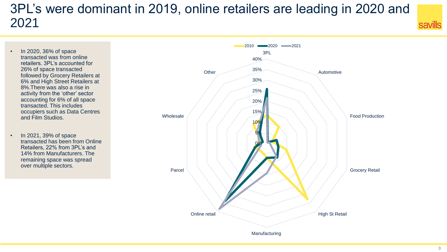# 3PL's were dominant in 2019, online retailers are leading in 2020 and 2021

- In 2020, 36% of space transacted was from online retailers. 3PL's accounted for 26% of space transacted followed by Grocery Retailers at 6% and High Street Retailers at 8%.There was also a rise in activity from the 'other' sector accounting for 6% of all space transacted. This includes occupiers such as Data Centres and Film Studios.
- In 2021, 39% of space transacted has been from Online Retailers, 22% from 3PL's and 14% from Manufacturers. The remaining space was spread over multiple sectors.

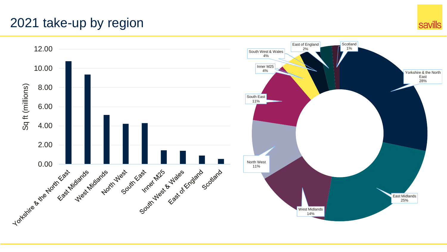# 2021 take-up by region

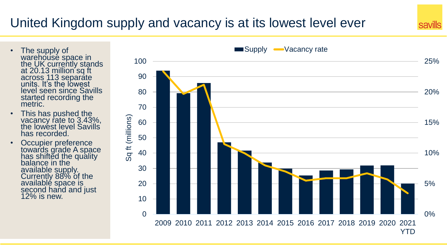# United Kingdom supply and vacancy is at its lowest level ever

- The supply of warehousé space in the UK currently stands at 20.13 million sq ft across 113 separate units. It's the lowest level seen since Savills started recording the metric.
- This has pushed the vacancy rate to 3.43%, the lowest level Savills has recorded.
- Occupier preference towards grade A space has shifted the quality balance in the available supply. Currently 88% of the availablé space is second hand and just 12% is new.

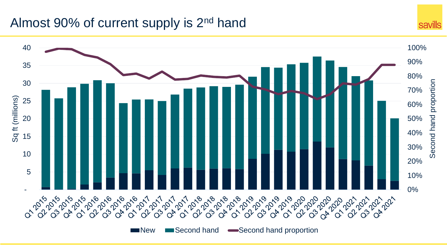### Almost 90% of current supply is 2<sup>nd</sup> hand

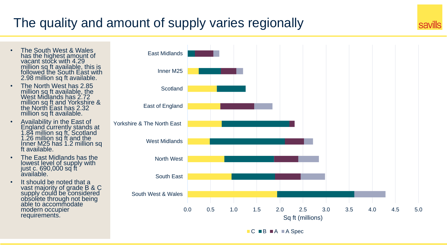# The quality and amount of supply varies regionally

- The South West & Wales has the highest amount of vacant stock with 4.29 million sq ft available, this is followed the South East with 2.98 million sq ft available.
- The North West has 2.85 million sq ft available, the West Midlands has 2.72 million sq ft and Yorkshire & the North East has 2.32 million sq ft available.
- Availability in the East of England currently stands at 1.84 million sq ft, Scotland 1.26 million sq ft and the Inner M25 has 1.2 million sq ft available.
- The East Midlands has the lowest level of supply with just c. 690,000 sq ft available.
- It should be noted that a vast majority of grade B & C supply could be considered obsolete through not being able to accommodate modern occupier requirements.



 $\blacksquare$  C  $\blacksquare$  B  $\blacksquare$  A  $\blacksquare$  A Spec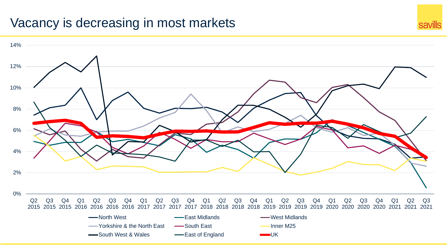### Vacancy is decreasing in most markets